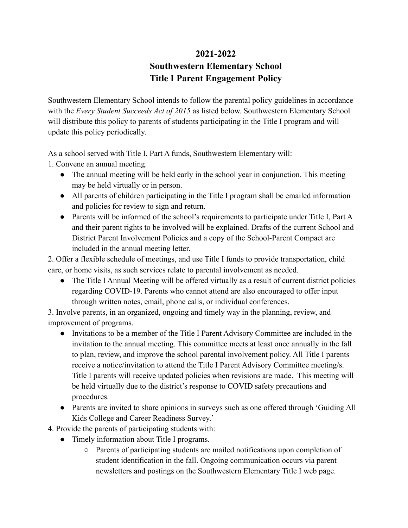## **2021-2022 Southwestern Elementary School Title I Parent Engagement Policy**

Southwestern Elementary School intends to follow the parental policy guidelines in accordance with the *Every Student Succeeds Act of 2015* as listed below. Southwestern Elementary School will distribute this policy to parents of students participating in the Title I program and will update this policy periodically.

As a school served with Title I, Part A funds, Southwestern Elementary will:

1. Convene an annual meeting.

- The annual meeting will be held early in the school year in conjunction. This meeting may be held virtually or in person.
- All parents of children participating in the Title I program shall be emailed information and policies for review to sign and return.
- Parents will be informed of the school's requirements to participate under Title I, Part A and their parent rights to be involved will be explained. Drafts of the current School and District Parent Involvement Policies and a copy of the School-Parent Compact are included in the annual meeting letter.

2. Offer a flexible schedule of meetings, and use Title I funds to provide transportation, child care, or home visits, as such services relate to parental involvement as needed.

• The Title I Annual Meeting will be offered virtually as a result of current district policies regarding COVID-19. Parents who cannot attend are also encouraged to offer input through written notes, email, phone calls, or individual conferences.

3. Involve parents, in an organized, ongoing and timely way in the planning, review, and improvement of programs.

- Invitations to be a member of the Title I Parent Advisory Committee are included in the invitation to the annual meeting. This committee meets at least once annually in the fall to plan, review, and improve the school parental involvement policy. All Title I parents receive a notice/invitation to attend the Title I Parent Advisory Committee meeting/s. Title I parents will receive updated policies when revisions are made. This meeting will be held virtually due to the district's response to COVID safety precautions and procedures.
- Parents are invited to share opinions in surveys such as one offered through 'Guiding All Kids College and Career Readiness Survey.'

4. Provide the parents of participating students with:

- Timely information about Title I programs.
	- Parents of participating students are mailed notifications upon completion of student identification in the fall. Ongoing communication occurs via parent newsletters and postings on the Southwestern Elementary Title I web page.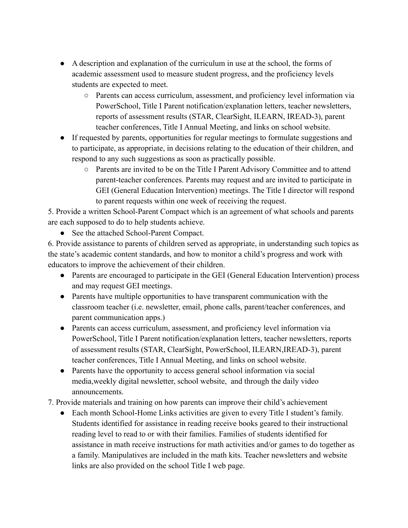- A description and explanation of the curriculum in use at the school, the forms of academic assessment used to measure student progress, and the proficiency levels students are expected to meet.
	- Parents can access curriculum, assessment, and proficiency level information via PowerSchool, Title I Parent notification/explanation letters, teacher newsletters, reports of assessment results (STAR, ClearSight, ILEARN, IREAD-3), parent teacher conferences, Title I Annual Meeting, and links on school website.
- If requested by parents, opportunities for regular meetings to formulate suggestions and to participate, as appropriate, in decisions relating to the education of their children, and respond to any such suggestions as soon as practically possible.
	- Parents are invited to be on the Title I Parent Advisory Committee and to attend parent-teacher conferences. Parents may request and are invited to participate in GEI (General Education Intervention) meetings. The Title I director will respond to parent requests within one week of receiving the request.

5. Provide a written School-Parent Compact which is an agreement of what schools and parents are each supposed to do to help students achieve.

● See the attached School-Parent Compact.

6. Provide assistance to parents of children served as appropriate, in understanding such topics as the state's academic content standards, and how to monitor a child's progress and work with educators to improve the achievement of their children.

- Parents are encouraged to participate in the GEI (General Education Intervention) process and may request GEI meetings.
- Parents have multiple opportunities to have transparent communication with the classroom teacher (i.e. newsletter, email, phone calls, parent/teacher conferences, and parent communication apps.)
- Parents can access curriculum, assessment, and proficiency level information via PowerSchool, Title I Parent notification/explanation letters, teacher newsletters, reports of assessment results (STAR, ClearSight, PowerSchool, ILEARN,IREAD-3), parent teacher conferences, Title I Annual Meeting, and links on school website.
- Parents have the opportunity to access general school information via social media,weekly digital newsletter, school website, and through the daily video announcements.
- 7. Provide materials and training on how parents can improve their child's achievement
	- Each month School-Home Links activities are given to every Title I student's family. Students identified for assistance in reading receive books geared to their instructional reading level to read to or with their families. Families of students identified for assistance in math receive instructions for math activities and/or games to do together as a family. Manipulatives are included in the math kits. Teacher newsletters and website links are also provided on the school Title I web page.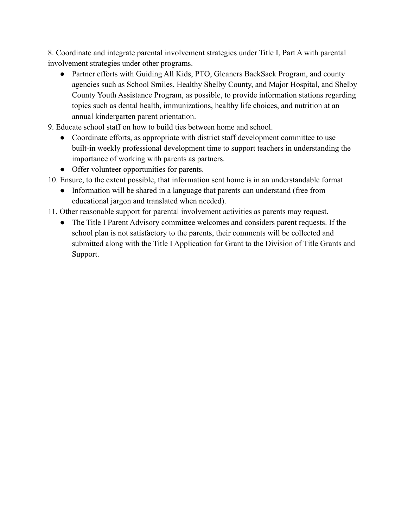8. Coordinate and integrate parental involvement strategies under Title I, Part A with parental involvement strategies under other programs.

- Partner efforts with Guiding All Kids, PTO, Gleaners BackSack Program, and county agencies such as School Smiles, Healthy Shelby County, and Major Hospital, and Shelby County Youth Assistance Program, as possible, to provide information stations regarding topics such as dental health, immunizations, healthy life choices, and nutrition at an annual kindergarten parent orientation.
- 9. Educate school staff on how to build ties between home and school.
	- Coordinate efforts, as appropriate with district staff development committee to use built-in weekly professional development time to support teachers in understanding the importance of working with parents as partners.
	- Offer volunteer opportunities for parents.
- 10. Ensure, to the extent possible, that information sent home is in an understandable format
	- Information will be shared in a language that parents can understand (free from educational jargon and translated when needed).
- 11. Other reasonable support for parental involvement activities as parents may request.
	- The Title I Parent Advisory committee welcomes and considers parent requests. If the school plan is not satisfactory to the parents, their comments will be collected and submitted along with the Title I Application for Grant to the Division of Title Grants and Support.